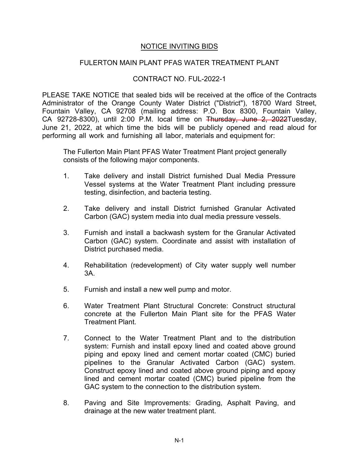## NOTICE INVITING BIDS

## FULERTON MAIN PLANT PFAS WATER TREATMENT PLANT

## CONTRACT NO. FUL-2022-1

PLEASE TAKE NOTICE that sealed bids will be received at the office of the Contracts Administrator of the Orange County Water District ("District"), 18700 Ward Street, Fountain Valley, CA 92708 (mailing address: P.O. Box 8300, Fountain Valley, CA 92728-8300), until 2:00 P.M. local time on Thursday, June 2, 2022Tuesday, June 21, 2022, at which time the bids will be publicly opened and read aloud for performing all work and furnishing all labor, materials and equipment for:

The Fullerton Main Plant PFAS Water Treatment Plant project generally consists of the following major components.

- 1. Take delivery and install District furnished Dual Media Pressure Vessel systems at the Water Treatment Plant including pressure testing, disinfection, and bacteria testing.
- 2. Take delivery and install District furnished Granular Activated Carbon (GAC) system media into dual media pressure vessels.
- 3. Furnish and install a backwash system for the Granular Activated Carbon (GAC) system. Coordinate and assist with installation of District purchased media.
- 4. Rehabilitation (redevelopment) of City water supply well number 3A.
- 5. Furnish and install a new well pump and motor.
- 6. Water Treatment Plant Structural Concrete: Construct structural concrete at the Fullerton Main Plant site for the PFAS Water Treatment Plant.
- 7. Connect to the Water Treatment Plant and to the distribution system: Furnish and install epoxy lined and coated above ground piping and epoxy lined and cement mortar coated (CMC) buried pipelines to the Granular Activated Carbon (GAC) system. Construct epoxy lined and coated above ground piping and epoxy lined and cement mortar coated (CMC) buried pipeline from the GAC system to the connection to the distribution system.
- 8. Paving and Site Improvements: Grading, Asphalt Paving, and drainage at the new water treatment plant.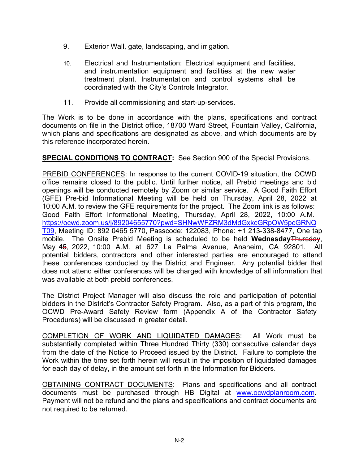- 9. Exterior Wall, gate, landscaping, and irrigation.
- 10. Electrical and Instrumentation: Electrical equipment and facilities, and instrumentation equipment and facilities at the new water treatment plant. Instrumentation and control systems shall be coordinated with the City's Controls Integrator.
- 11. Provide all commissioning and start-up-services.

The Work is to be done in accordance with the plans, specifications and contract documents on file in the District office, 18700 Ward Street, Fountain Valley, California, which plans and specifications are designated as above, and which documents are by this reference incorporated herein.

**SPECIAL CONDITIONS TO CONTRACT:** See Section 900 of the Special Provisions.

PREBID CONFERENCES: In response to the current COVID-19 situation, the OCWD office remains closed to the public. Until further notice, all Prebid meetings and bid openings will be conducted remotely by Zoom or similar service. A Good Faith Effort (GFE) Pre-bid Informational Meeting will be held on Thursday, April 28, 2022 at 10:00 A.M. to review the GFE requirements for the project. The Zoom link is as follows: Good Faith Effort Informational Meeting, Thursday, April 28, 2022, 10:00 A.M. [https://ocwd.zoom.us/j/89204655770?pwd=SHNwWFZRM3dMdGxkcGRpOW5pcGRNQ](https://ocwd.zoom.us/j/89204655770?pwd=SHNwWFZRM3dMdGxkcGRpOW5pcGRNQT09) [T09,](https://ocwd.zoom.us/j/89204655770?pwd=SHNwWFZRM3dMdGxkcGRpOW5pcGRNQT09) Meeting ID: 892 0465 5770, Passcode: 122083, Phone: +1 213-338-8477, One tap mobile. The Onsite Prebid Meeting is scheduled to be held **Wednesday**Thursday, May **4**5, 2022, 10:00 A.M. at 627 La Palma Avenue, Anaheim, CA 92801. All potential bidders, contractors and other interested parties are encouraged to attend these conferences conducted by the District and Engineer. Any potential bidder that does not attend either conferences will be charged with knowledge of all information that was available at both prebid conferences.

The District Project Manager will also discuss the role and participation of potential bidders in the District's Contractor Safety Program. Also, as a part of this program, the OCWD Pre-Award Safety Review form (Appendix A of the Contractor Safety Procedures) will be discussed in greater detail.

COMPLETION OF WORK AND LIQUIDATED DAMAGES: All Work must be substantially completed within Three Hundred Thirty (330) consecutive calendar days from the date of the Notice to Proceed issued by the District. Failure to complete the Work within the time set forth herein will result in the imposition of liquidated damages for each day of delay, in the amount set forth in the Information for Bidders.

OBTAINING CONTRACT DOCUMENTS: Plans and specifications and all contract documents must be purchased through HB Digital at [www.ocwdplanroom.com.](http://www.ocwdplanroom.com/) Payment will not be refund and the plans and specifications and contract documents are not required to be returned.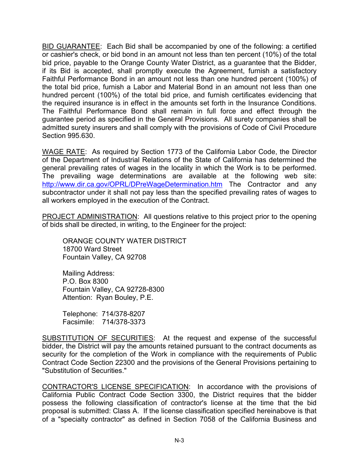BID GUARANTEE: Each Bid shall be accompanied by one of the following: a certified or cashier's check, or bid bond in an amount not less than ten percent (10%) of the total bid price, payable to the Orange County Water District, as a guarantee that the Bidder, if its Bid is accepted, shall promptly execute the Agreement, furnish a satisfactory Faithful Performance Bond in an amount not less than one hundred percent (100%) of the total bid price, furnish a Labor and Material Bond in an amount not less than one hundred percent (100%) of the total bid price, and furnish certificates evidencing that the required insurance is in effect in the amounts set forth in the Insurance Conditions. The Faithful Performance Bond shall remain in full force and effect through the guarantee period as specified in the General Provisions. All surety companies shall be admitted surety insurers and shall comply with the provisions of Code of Civil Procedure Section 995.630.

WAGE RATE: As required by Section 1773 of the California Labor Code, the Director of the Department of Industrial Relations of the State of California has determined the general prevailing rates of wages in the locality in which the Work is to be performed. The prevailing wage determinations are available at the following web site: <http://www.dir.ca.gov/OPRL/DPreWageDetermination.htm> The Contractor and any subcontractor under it shall not pay less than the specified prevailing rates of wages to all workers employed in the execution of the Contract.

PROJECT ADMINISTRATION: All questions relative to this project prior to the opening of bids shall be directed, in writing, to the Engineer for the project:

ORANGE COUNTY WATER DISTRICT 18700 Ward Street Fountain Valley, CA 92708

Mailing Address: P.O. Box 8300 Fountain Valley, CA 92728-8300 Attention: Ryan Bouley, P.E.

Telephone: 714/378-8207 Facsimile: 714/378-3373

SUBSTITUTION OF SECURITIES: At the request and expense of the successful bidder, the District will pay the amounts retained pursuant to the contract documents as security for the completion of the Work in compliance with the requirements of Public Contract Code Section 22300 and the provisions of the General Provisions pertaining to "Substitution of Securities."

CONTRACTOR'S LICENSE SPECIFICATION: In accordance with the provisions of California Public Contract Code Section 3300, the District requires that the bidder possess the following classification of contractor's license at the time that the bid proposal is submitted: Class A. If the license classification specified hereinabove is that of a "specialty contractor" as defined in Section 7058 of the California Business and